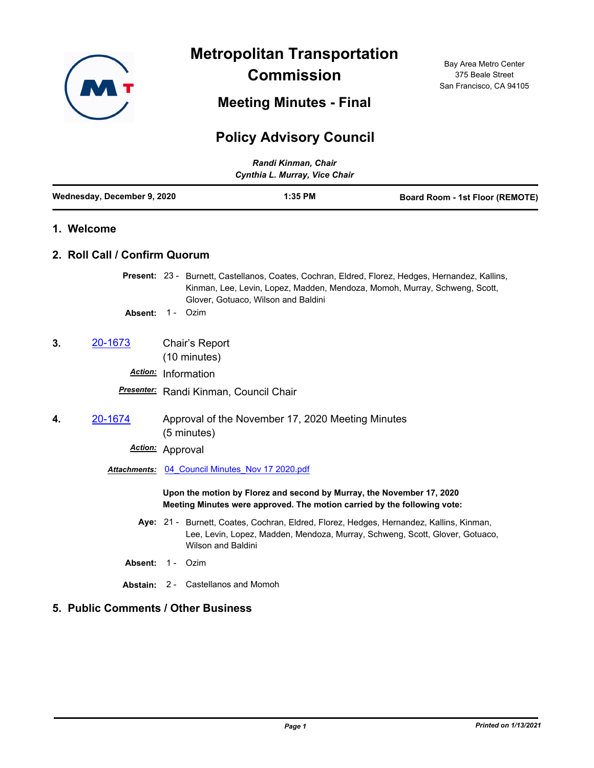

**Metropolitan Transportation Commission**

**Meeting Minutes - Final**

## **Policy Advisory Council**

| Randi Kinman, Chair<br>Cynthia L. Murray, Vice Chair |                                                                  |                                                                                                                                                   |                                                                                                                                                                                |
|------------------------------------------------------|------------------------------------------------------------------|---------------------------------------------------------------------------------------------------------------------------------------------------|--------------------------------------------------------------------------------------------------------------------------------------------------------------------------------|
| Wednesday, December 9, 2020                          |                                                                  | 1:35 PM                                                                                                                                           | Board Room - 1st Floor (REMOTE)                                                                                                                                                |
| 1. Welcome                                           |                                                                  |                                                                                                                                                   |                                                                                                                                                                                |
| 2. Roll Call / Confirm Quorum                        |                                                                  |                                                                                                                                                   |                                                                                                                                                                                |
|                                                      |                                                                  | Glover, Gotuaco, Wilson and Baldini                                                                                                               | Present: 23 - Burnett, Castellanos, Coates, Cochran, Eldred, Florez, Hedges, Hernandez, Kallins,<br>Kinman, Lee, Levin, Lopez, Madden, Mendoza, Momoh, Murray, Schweng, Scott, |
| Absent:                                              | 1 - Ozim                                                         |                                                                                                                                                   |                                                                                                                                                                                |
| 3.<br>20-1673                                        | Chair's Report<br>(10 minutes)                                   |                                                                                                                                                   |                                                                                                                                                                                |
|                                                      | Action: Information                                              |                                                                                                                                                   |                                                                                                                                                                                |
|                                                      | Presenter: Randi Kinman, Council Chair                           |                                                                                                                                                   |                                                                                                                                                                                |
| 20-1674<br>4.                                        | Approval of the November 17, 2020 Meeting Minutes<br>(5 minutes) |                                                                                                                                                   |                                                                                                                                                                                |
| Action:                                              | Approval                                                         |                                                                                                                                                   |                                                                                                                                                                                |
|                                                      | Attachments: 04 Council Minutes Nov 17 2020.pdf                  |                                                                                                                                                   |                                                                                                                                                                                |
|                                                      |                                                                  | Upon the motion by Florez and second by Murray, the November 17, 2020<br>Meeting Minutes were approved. The motion carried by the following vote: |                                                                                                                                                                                |
|                                                      | <b>Wilson and Baldini</b>                                        |                                                                                                                                                   | Aye: 21 - Burnett, Coates, Cochran, Eldred, Florez, Hedges, Hernandez, Kallins, Kinman,<br>Lee, Levin, Lopez, Madden, Mendoza, Murray, Schweng, Scott, Glover, Gotuaco,        |
| Absent:                                              | $1 -$<br>Ozim                                                    |                                                                                                                                                   |                                                                                                                                                                                |
|                                                      | <b>Abstain: 2 - Castellanos and Momoh</b>                        |                                                                                                                                                   |                                                                                                                                                                                |
| 5. Public Comments / Other Business                  |                                                                  |                                                                                                                                                   |                                                                                                                                                                                |

Bay Area Metro Center 375 Beale Street San Francisco, CA 94105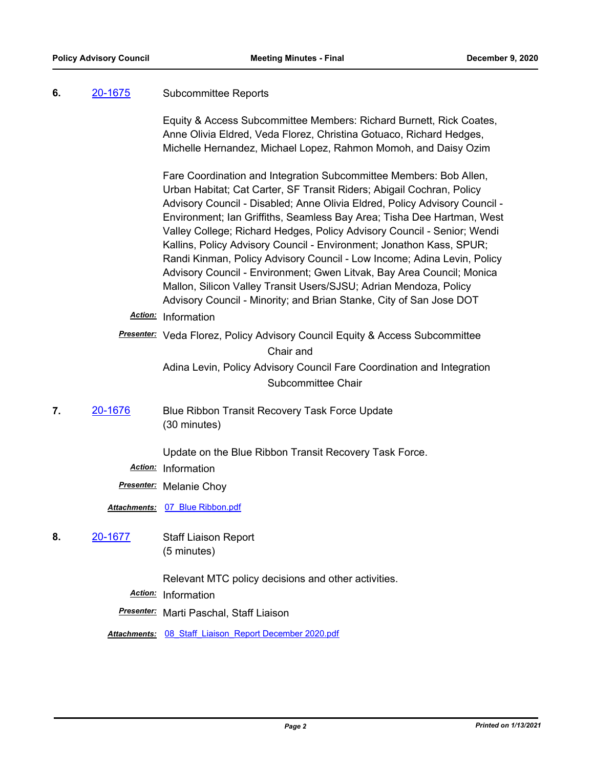## **6.** [20-1675](http://mtc.legistar.com/gateway.aspx?m=l&id=/matter.aspx?key=21540) Subcommittee Reports

Equity & Access Subcommittee Members: Richard Burnett, Rick Coates, Anne Olivia Eldred, Veda Florez, Christina Gotuaco, Richard Hedges, Michelle Hernandez, Michael Lopez, Rahmon Momoh, and Daisy Ozim

Fare Coordination and Integration Subcommittee Members: Bob Allen, Urban Habitat; Cat Carter, SF Transit Riders; Abigail Cochran, Policy Advisory Council - Disabled; Anne Olivia Eldred, Policy Advisory Council - Environment; Ian Griffiths, Seamless Bay Area; Tisha Dee Hartman, West Valley College; Richard Hedges, Policy Advisory Council - Senior; Wendi Kallins, Policy Advisory Council - Environment; Jonathon Kass, SPUR; Randi Kinman, Policy Advisory Council - Low Income; Adina Levin, Policy Advisory Council - Environment; Gwen Litvak, Bay Area Council; Monica Mallon, Silicon Valley Transit Users/SJSU; Adrian Mendoza, Policy Advisory Council - Minority; and Brian Stanke, City of San Jose DOT

*Action:* Information

*Presenter:* Veda Florez, Policy Advisory Council Equity & Access Subcommittee Chair and Adina Levin, Policy Advisory Council Fare Coordination and Integration Subcommittee Chair

**7.** [20-1676](http://mtc.legistar.com/gateway.aspx?m=l&id=/matter.aspx?key=21541) Blue Ribbon Transit Recovery Task Force Update (30 minutes)

Update on the Blue Ribbon Transit Recovery Task Force.

*Action:* Information

*Presenter:* Melanie Choy

*Attachments:* [07\\_Blue Ribbon.pdf](http://mtc.legistar.com/gateway.aspx?M=F&ID=d1485002-5d42-48be-b320-16d4c20600af.pdf)

**8.** [20-1677](http://mtc.legistar.com/gateway.aspx?m=l&id=/matter.aspx?key=21542) Staff Liaison Report (5 minutes)

Relevant MTC policy decisions and other activities.

*Action:* Information

*Presenter:* Marti Paschal, Staff Liaison

*Attachments:* [08\\_Staff\\_Liaison\\_Report December 2020.pdf](http://mtc.legistar.com/gateway.aspx?M=F&ID=5bc7d009-44cd-4518-bfce-fd5713af25c2.pdf)